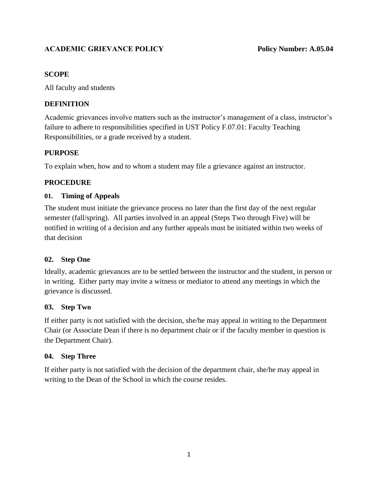# **ACADEMIC GRIEVANCE POLICY Policy Number: A.05.04**

#### **SCOPE**

All faculty and students

# **DEFINITION**

Academic grievances involve matters such as the instructor's management of a class, instructor's failure to adhere to responsibilities specified in UST Policy F.07.01: Faculty Teaching Responsibilities, or a grade received by a student.

### **PURPOSE**

To explain when, how and to whom a student may file a grievance against an instructor.

### **PROCEDURE**

### **01. Timing of Appeals**

The student must initiate the grievance process no later than the first day of the next regular semester (fall/spring). All parties involved in an appeal (Steps Two through Five) will be notified in writing of a decision and any further appeals must be initiated within two weeks of that decision

### **02. Step One**

Ideally, academic grievances are to be settled between the instructor and the student, in person or in writing. Either party may invite a witness or mediator to attend any meetings in which the grievance is discussed.

### **03. Step Two**

If either party is not satisfied with the decision, she/he may appeal in writing to the Department Chair (or Associate Dean if there is no department chair or if the faculty member in question is the Department Chair).

### **04. Step Three**

If either party is not satisfied with the decision of the department chair, she/he may appeal in writing to the Dean of the School in which the course resides.